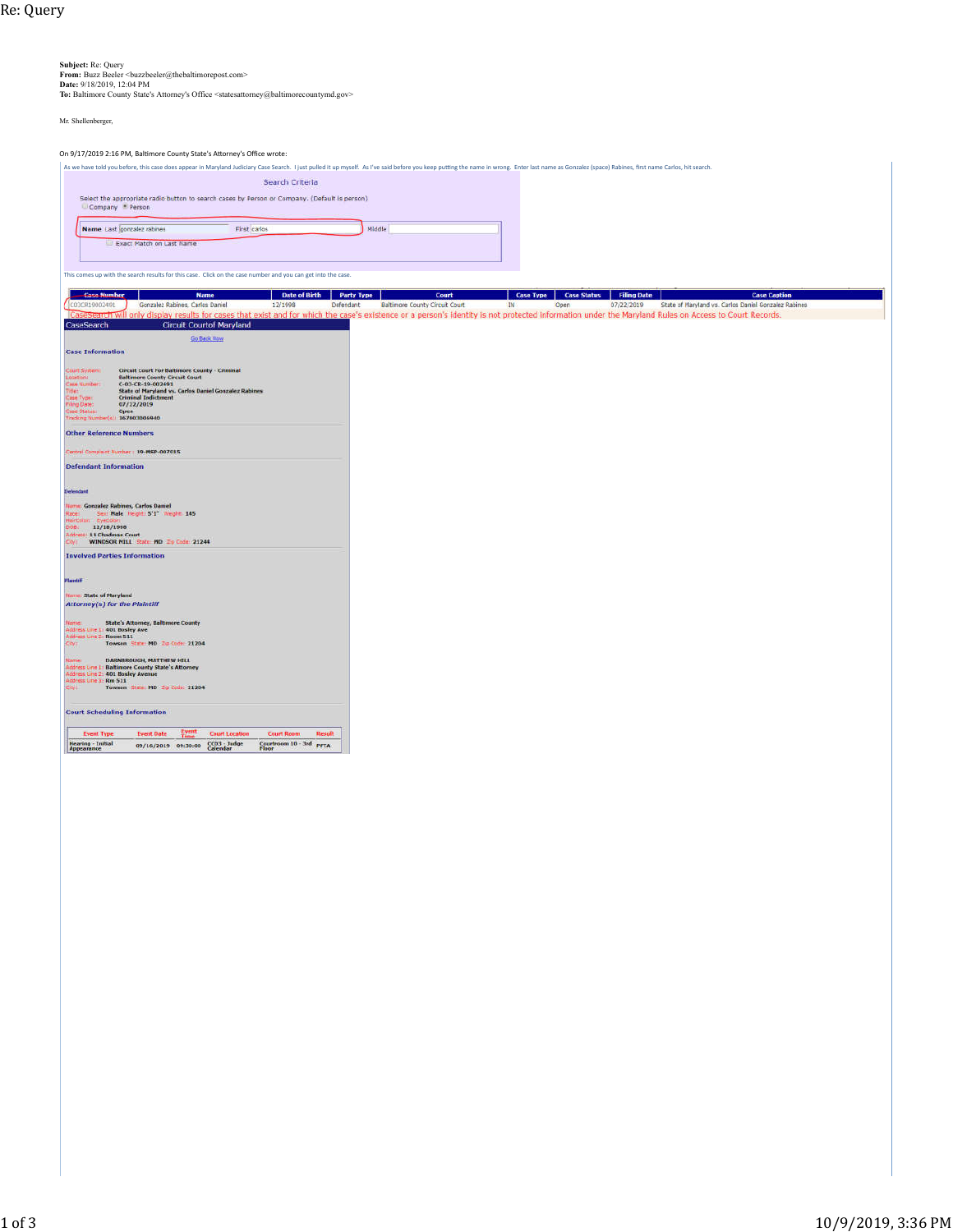## **Subject:** Re: Query<br>**From:** Buzz Beeler <buzzbeeler@thebaltimorepost.com>

**Date:** 9/18/2019, 12:04 PM

**To:** Baltimore County State's Attorney's Office <statesattorney@baltimorecountymd.gov>

Mr. Shellenberger,

## On 9/17/2019 2:16 PM, Baltimore County State's Attorney's Office wrote:

As we have told you before, this case does appear in Maryland Judiciary Case Search. I just pulled it up myself. As I've said before you keep putting the name in wrong. Enter last name as Gonzalez (space) Rabines, first na Search Criteria Select the appropriate radio button to search cases by Person or Company. (Default is person)<br>Company \* Person First carlos Name Last gonzalez rabines Middle Exact Match on Last Name This comes up with the search results for this case. Click on the case number and you can get into the case. Case Mumber<br>
Ca19002491 Gonzalez Rabines, Carlos Daniel<br>
CaSearch Will only display results for case<br>
eSearch Circuit Courtof Mar Date of Birth Party Type Court Court Case Caption<br>12/1998 Defendant Baltimore Courty Circuit Court DV Deen Defendant Defendant Baltimere Court Court Party of the United Defendant Defendant Defendant Defendant Defendant Def **Circuit Courtof Maryland** CaseSearch Go Back from **Case Information** Carl System Circuit Court For Baltimore County - Criminal<br>Contribution: Court - Court Court<br>Contribution: Court - Court Court<br>Court - State of Maryland vs. Carlos Damiel Gonzalez Rabines<br>can from - Chronical Indictment<br>Imp Other Reference Numbers ntral Compinet Humber + 19-MSP-007015 **Defendant Information** lerColor: RyeColor<br>John 12/10/1990<br>Jahres: 11 Chadman Court<br>Jay: WINDSOR MILL State MD *To Cede*: 21244 **Involved Parties Information Kame: State of Maryland<br>Attorney(s) for the Plaintiff** Name:<br>Address Line 1: 401 Bosley Ave<br>Address Line 1: 401 Bosley Ave<br>Address Line 2: Room 511<br>City: Towson, State: MD, Zip Code: 21204 iame: DARNISROUGH, MATTHEW HILL<br>Iddress Line 1: Baltimore County State's Attorney<br>Iddress Line 2: 401 Bosley Avenue<br>Iddress Line 2: Rm 511<br>Towson State: MD 20 Code: 21204<br>Thy: Towson State: MD 20 Code: 21204 **Court Scheduling Information**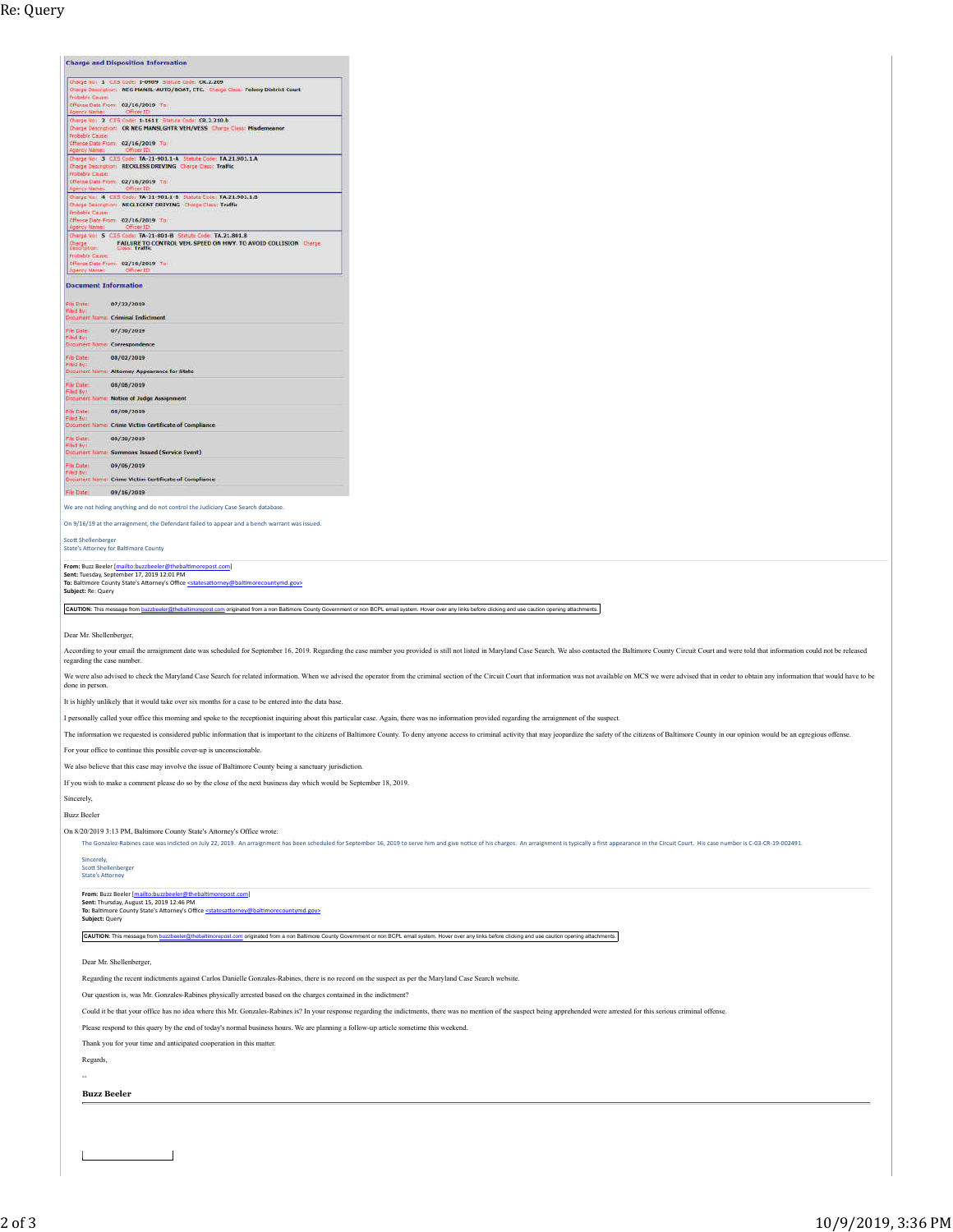Шe

**Charge and Disposition Information** 

| Offense Date From: 02/16/2019 Toll<br><b>Acency Mame:</b>                                                                                                                                                          |                                                                                                                                                                                                                                                                                                                                                                                                                                                                 |
|--------------------------------------------------------------------------------------------------------------------------------------------------------------------------------------------------------------------|-----------------------------------------------------------------------------------------------------------------------------------------------------------------------------------------------------------------------------------------------------------------------------------------------------------------------------------------------------------------------------------------------------------------------------------------------------------------|
| Charge No: 3 CJIS Code: TA-21-901.1-A Statute Code: TA.21.901.1.A<br>Charge Description: RECKLESS DRIVING Charge Class: Traffic<br><b>Probable Cause:</b>                                                          |                                                                                                                                                                                                                                                                                                                                                                                                                                                                 |
| Offense Date From: 02/16/2019 To:                                                                                                                                                                                  |                                                                                                                                                                                                                                                                                                                                                                                                                                                                 |
| Charge No: 4 CIIS Code: TA-21-901.1-B Statute Code: TA.21.901.1.B<br>Charge Description: NEGLIGENT DRIVING Charge Class: Traffic<br><b>Probable Cause:</b>                                                         |                                                                                                                                                                                                                                                                                                                                                                                                                                                                 |
| Offense Date From: 02/16/2019 To:                                                                                                                                                                                  |                                                                                                                                                                                                                                                                                                                                                                                                                                                                 |
| Chinge No: 5 CJIS Code: TA-21-801-B Statute Code: TA.21.801.8<br>Charge<br>Descriptions<br>FAILURE TO CONTROL VEH. SPEED ON HWY, TO AVOID COLLISION Charge<br>Probable Cause:<br>Offense Date From: 02/16/2019 To: |                                                                                                                                                                                                                                                                                                                                                                                                                                                                 |
| <b>Agency Marner</b>                                                                                                                                                                                               |                                                                                                                                                                                                                                                                                                                                                                                                                                                                 |
| <b>Document Information</b>                                                                                                                                                                                        |                                                                                                                                                                                                                                                                                                                                                                                                                                                                 |
| File Date:<br>07/22/2019<br>Filed By                                                                                                                                                                               |                                                                                                                                                                                                                                                                                                                                                                                                                                                                 |
| <b>Document Name: Criminal Indictment</b><br>File Date:<br>07/30/2019                                                                                                                                              |                                                                                                                                                                                                                                                                                                                                                                                                                                                                 |
| Filed Buy<br>Document Name: Correspondence                                                                                                                                                                         |                                                                                                                                                                                                                                                                                                                                                                                                                                                                 |
| File Date:<br>08/02/2019<br>Filed By:                                                                                                                                                                              |                                                                                                                                                                                                                                                                                                                                                                                                                                                                 |
| Document Name: Attorney Appearance for State                                                                                                                                                                       |                                                                                                                                                                                                                                                                                                                                                                                                                                                                 |
| File Date:<br>08/08/2019<br><b>Filed By:</b><br>Document Name: Notice of Judge Assignment                                                                                                                          |                                                                                                                                                                                                                                                                                                                                                                                                                                                                 |
| File Date<br>08/09/2019                                                                                                                                                                                            |                                                                                                                                                                                                                                                                                                                                                                                                                                                                 |
| Filed By<br>Document Name: Crime Victim Certificate of Compliance                                                                                                                                                  |                                                                                                                                                                                                                                                                                                                                                                                                                                                                 |
| File Date:<br>08/30/2019<br>Filed By:                                                                                                                                                                              |                                                                                                                                                                                                                                                                                                                                                                                                                                                                 |
| Document Name: Summons Issued (Service Event)                                                                                                                                                                      |                                                                                                                                                                                                                                                                                                                                                                                                                                                                 |
| File Date:<br>09/06/2019<br>Filed By:<br>Document Name: Crime Victim Certificate of Compliance                                                                                                                     |                                                                                                                                                                                                                                                                                                                                                                                                                                                                 |
| File Date:<br>09/16/2019                                                                                                                                                                                           |                                                                                                                                                                                                                                                                                                                                                                                                                                                                 |
| We are not hiding anything and do not control the Judiciary Case Search database.                                                                                                                                  |                                                                                                                                                                                                                                                                                                                                                                                                                                                                 |
| On 9/16/19 at the arraignment, the Defendant failed to appear and a bench warrant was issued.                                                                                                                      |                                                                                                                                                                                                                                                                                                                                                                                                                                                                 |
| <b>Scott Shellenberger</b>                                                                                                                                                                                         |                                                                                                                                                                                                                                                                                                                                                                                                                                                                 |
|                                                                                                                                                                                                                    |                                                                                                                                                                                                                                                                                                                                                                                                                                                                 |
| <b>State's Attorney for Baltimore County</b>                                                                                                                                                                       |                                                                                                                                                                                                                                                                                                                                                                                                                                                                 |
| From: Buzz Beeler [mailto:buzzbeeler@thebaltimorepost.com]                                                                                                                                                         |                                                                                                                                                                                                                                                                                                                                                                                                                                                                 |
| Sent: Tuesday, September 17, 2019 12:01 PM<br>To: Baltimore County State's Attorney's Office <statesattorney@baltimorecountymd.gov></statesattorney@baltimorecountymd.gov>                                         |                                                                                                                                                                                                                                                                                                                                                                                                                                                                 |
| Subject: Re: Query                                                                                                                                                                                                 |                                                                                                                                                                                                                                                                                                                                                                                                                                                                 |
|                                                                                                                                                                                                                    | CAUTION: This message from buzzbeeler@thebaltimorepost.com originated from a non Baltimore County Government or non BCPL email system. Hover over any links before clicking and use caution opening attachments.                                                                                                                                                                                                                                                |
|                                                                                                                                                                                                                    |                                                                                                                                                                                                                                                                                                                                                                                                                                                                 |
| Dear Mr. Shellenberger,                                                                                                                                                                                            |                                                                                                                                                                                                                                                                                                                                                                                                                                                                 |
| regarding the case number.                                                                                                                                                                                         |                                                                                                                                                                                                                                                                                                                                                                                                                                                                 |
|                                                                                                                                                                                                                    | According to your email the arraignment date was scheduled for September 16, 2019. Regarding the case number you provided is still not listed in Maryland Case Search. We also contacted the Baltimore County Circuit Court an<br>We were also advised to check the Maryland Case Search for related information. When we advised the operator from the criminal section of the Circuit Court that information was not available on MCS we were advised that in |
| done in person.                                                                                                                                                                                                    |                                                                                                                                                                                                                                                                                                                                                                                                                                                                 |
| It is highly unlikely that it would take over six months for a case to be entered into the data base.                                                                                                              |                                                                                                                                                                                                                                                                                                                                                                                                                                                                 |
|                                                                                                                                                                                                                    | I personally called your office this morning and spoke to the receptionist inquiring about this particular case. Again, there was no information provided regarding the arraignment of the suspect.                                                                                                                                                                                                                                                             |
|                                                                                                                                                                                                                    | The information we requested is considered public information that is important to the citizens of Baltimore County. To deny anyone access to criminal activity that may jeopardize the safety of the citizens of Baltimore Co                                                                                                                                                                                                                                  |
| For your office to continue this possible cover-up is unconscionable.                                                                                                                                              |                                                                                                                                                                                                                                                                                                                                                                                                                                                                 |
| We also believe that this case may involve the issue of Baltimore County being a sanctuary jurisdiction.                                                                                                           |                                                                                                                                                                                                                                                                                                                                                                                                                                                                 |
| If you wish to make a comment please do so by the close of the next business day which would be September 18, 2019.                                                                                                |                                                                                                                                                                                                                                                                                                                                                                                                                                                                 |
| Sincerely,                                                                                                                                                                                                         |                                                                                                                                                                                                                                                                                                                                                                                                                                                                 |
| <b>Buzz Beeler</b>                                                                                                                                                                                                 |                                                                                                                                                                                                                                                                                                                                                                                                                                                                 |
| On 8/20/2019 3:13 PM, Baltimore County State's Attorney's Office wrote:                                                                                                                                            | The Gonzalez-Rabines case was indicted on July 22, 2019. An arraignment has been scheduled for September 16, 2019 to serve him and give notice of his charges. An arraignment is typically a first appearance in the Circuit C                                                                                                                                                                                                                                  |
| Sincerely.                                                                                                                                                                                                         |                                                                                                                                                                                                                                                                                                                                                                                                                                                                 |
| <b>Scott Shellenberger</b>                                                                                                                                                                                         |                                                                                                                                                                                                                                                                                                                                                                                                                                                                 |
| <b>State's Attorney</b>                                                                                                                                                                                            |                                                                                                                                                                                                                                                                                                                                                                                                                                                                 |
| From: Buzz Beeler [mailto:buzzbeeler@thebaltimorepost.com]<br>Sent: Thursday, August 15, 2019 12:46 PM                                                                                                             |                                                                                                                                                                                                                                                                                                                                                                                                                                                                 |
| To: Baltimore County State's Attorney's Office <statesattorney@baltimorecountymd.gov><br/>Subject: Query</statesattorney@baltimorecountymd.gov>                                                                    |                                                                                                                                                                                                                                                                                                                                                                                                                                                                 |
|                                                                                                                                                                                                                    | CAUTION: This message from buzzbeeler@thebaltimorepost.com originated from a non Baltimore County Government or non BCPL email system. Hover over any links before clicking and use caution opening attachments.                                                                                                                                                                                                                                                |
|                                                                                                                                                                                                                    |                                                                                                                                                                                                                                                                                                                                                                                                                                                                 |
| Dear Mr. Shellenberger,                                                                                                                                                                                            |                                                                                                                                                                                                                                                                                                                                                                                                                                                                 |
| Regarding the recent indictments against Carlos Danielle Gonzales-Rabines, there is no record on the suspect as per the Maryland Case Search website.                                                              |                                                                                                                                                                                                                                                                                                                                                                                                                                                                 |
| Our question is, was Mr. Gonzales-Rabines physically arrested based on the charges contained in the indictment?                                                                                                    |                                                                                                                                                                                                                                                                                                                                                                                                                                                                 |
|                                                                                                                                                                                                                    | Could it be that your office has no idea where this Mr. Gonzales-Rabines is? In your response regarding the indictments, there was no mention of the suspect being apprehended were arrested for this serious criminal offense                                                                                                                                                                                                                                  |
| Please respond to this query by the end of today's normal business hours. We are planning a follow-up article sometime this weekend.                                                                               |                                                                                                                                                                                                                                                                                                                                                                                                                                                                 |
| Thank you for your time and anticipated cooperation in this matter.                                                                                                                                                |                                                                                                                                                                                                                                                                                                                                                                                                                                                                 |
| Regards,                                                                                                                                                                                                           |                                                                                                                                                                                                                                                                                                                                                                                                                                                                 |
|                                                                                                                                                                                                                    |                                                                                                                                                                                                                                                                                                                                                                                                                                                                 |
| <b>Buzz Beeler</b>                                                                                                                                                                                                 |                                                                                                                                                                                                                                                                                                                                                                                                                                                                 |